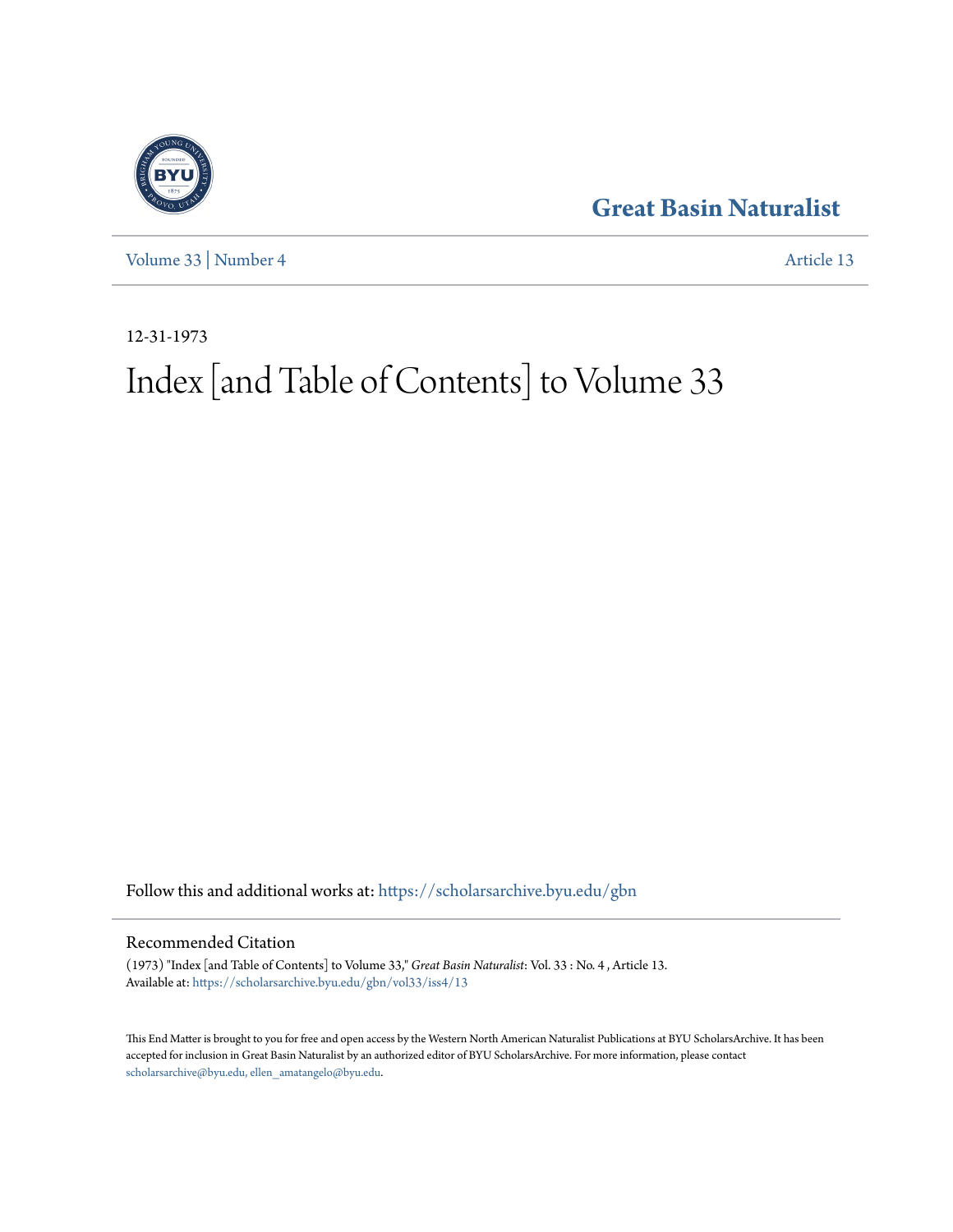



[Volume 33](https://scholarsarchive.byu.edu/gbn/vol33?utm_source=scholarsarchive.byu.edu%2Fgbn%2Fvol33%2Fiss4%2F13&utm_medium=PDF&utm_campaign=PDFCoverPages) | [Number 4](https://scholarsarchive.byu.edu/gbn/vol33/iss4?utm_source=scholarsarchive.byu.edu%2Fgbn%2Fvol33%2Fiss4%2F13&utm_medium=PDF&utm_campaign=PDFCoverPages) [Article 13](https://scholarsarchive.byu.edu/gbn/vol33/iss4/13?utm_source=scholarsarchive.byu.edu%2Fgbn%2Fvol33%2Fiss4%2F13&utm_medium=PDF&utm_campaign=PDFCoverPages)

12-31-1973

# Index [and Table of Contents] to Volume 33

Follow this and additional works at: [https://scholarsarchive.byu.edu/gbn](https://scholarsarchive.byu.edu/gbn?utm_source=scholarsarchive.byu.edu%2Fgbn%2Fvol33%2Fiss4%2F13&utm_medium=PDF&utm_campaign=PDFCoverPages)

#### Recommended Citation

(1973) "Index [and Table of Contents] to Volume 33," *Great Basin Naturalist*: Vol. 33 : No. 4 , Article 13. Available at: [https://scholarsarchive.byu.edu/gbn/vol33/iss4/13](https://scholarsarchive.byu.edu/gbn/vol33/iss4/13?utm_source=scholarsarchive.byu.edu%2Fgbn%2Fvol33%2Fiss4%2F13&utm_medium=PDF&utm_campaign=PDFCoverPages)

This End Matter is brought to you for free and open access by the Western North American Naturalist Publications at BYU ScholarsArchive. It has been accepted for inclusion in Great Basin Naturalist by an authorized editor of BYU ScholarsArchive. For more information, please contact [scholarsarchive@byu.edu, ellen\\_amatangelo@byu.edu.](mailto:scholarsarchive@byu.edu,%20ellen_amatangelo@byu.edu)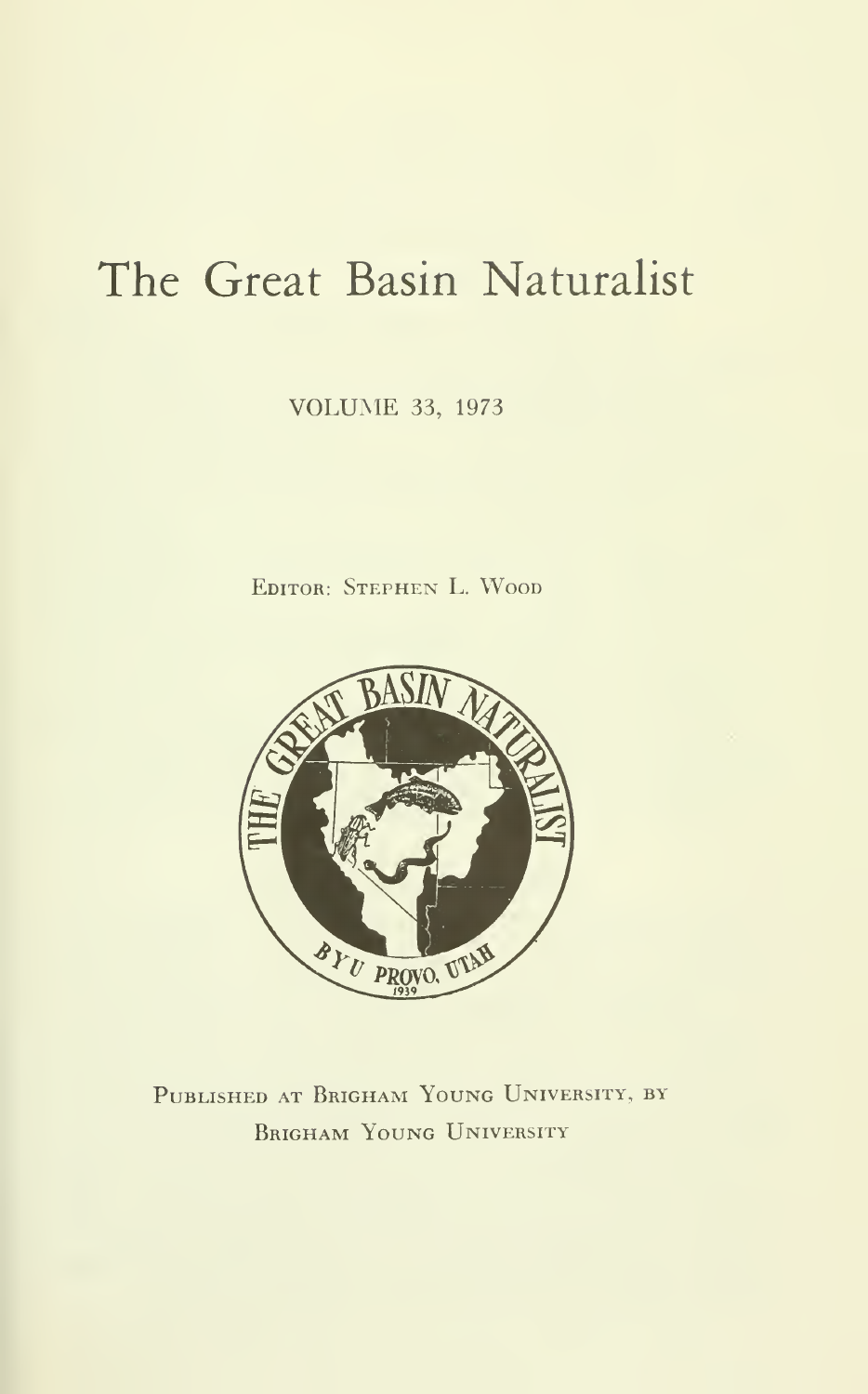## The Great Basin Naturalist

VOLUME 33, <sup>1973</sup>

Editor: Stephen L. Wood



Published at Brigham Young University, by Brigham Young University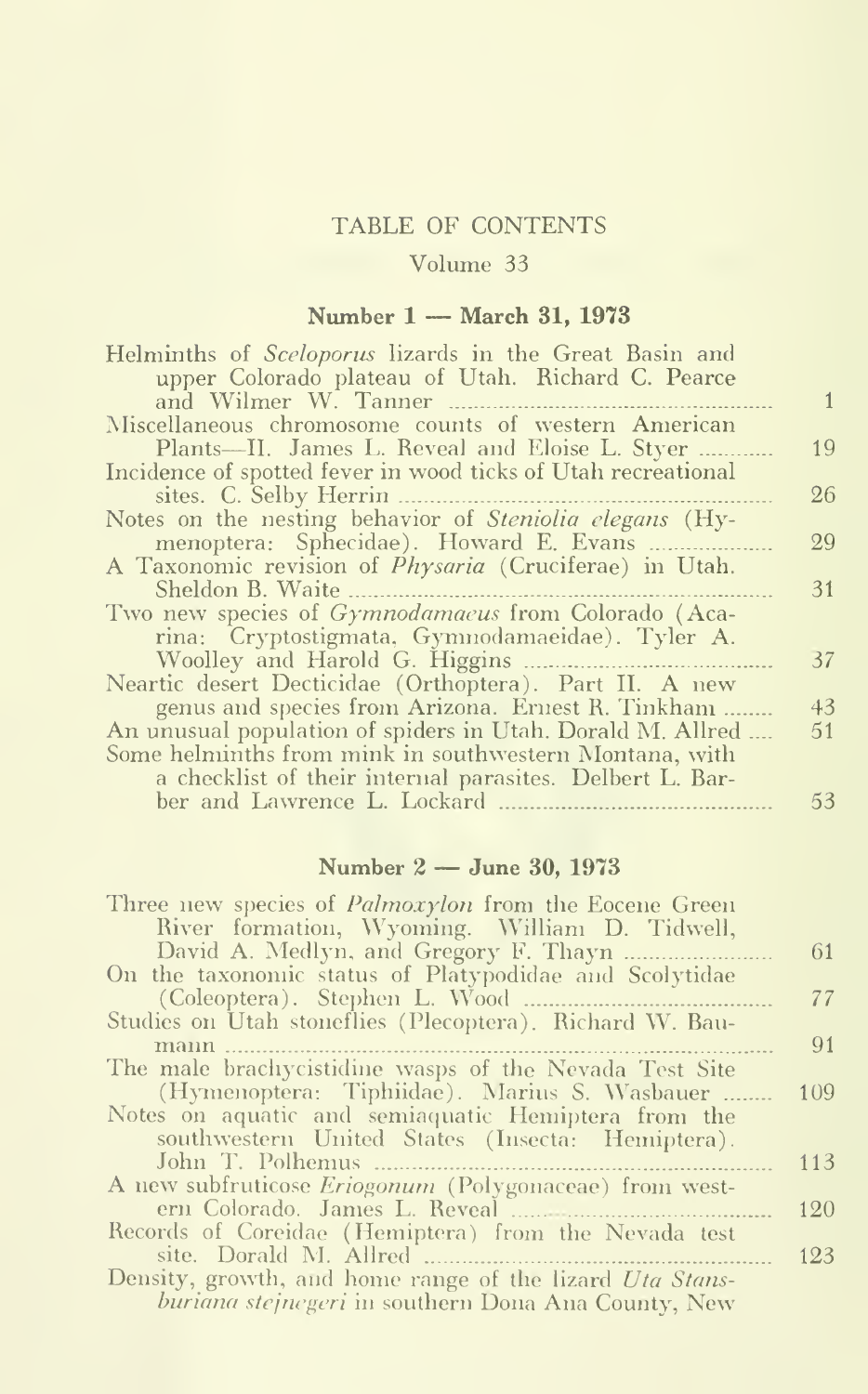#### TABLE OF CONTENTS

#### Volume 33

#### Number <sup>1</sup> — March 31, <sup>1973</sup>

| Helminths of Sceloporus lizards in the Great Basin and<br>upper Colorado plateau of Utah. Richard C. Pearce                                                                      |    |
|----------------------------------------------------------------------------------------------------------------------------------------------------------------------------------|----|
| and Wilmer W. Tanner                                                                                                                                                             |    |
| Miscellaneous chromosome counts of western American                                                                                                                              |    |
| Plants—II. James L. Reveal and Eloise L. Styer                                                                                                                                   | 19 |
| Incidence of spotted fever in wood ticks of Utah recreational                                                                                                                    |    |
| sites. C. Selby Herrin                                                                                                                                                           | 26 |
| Notes on the nesting behavior of Steniolia elegans (Hy-<br>menoptera: Sphecidae). Howard E. Evans                                                                                | 29 |
| A Taxonomic revision of <i>Physaria</i> (Cruciferae) in Utah.<br>Sheldon B. Waite                                                                                                | 31 |
| Two new species of <i>Gymnodamaeus</i> from Colorado (Aca-<br>rina: Cryptostigmata, Gymnodamaeidae). Tyler A.                                                                    |    |
| Woolley and Harold G. Higgins                                                                                                                                                    | 37 |
| Neartic desert Decticidae (Orthoptera). Part II. A new                                                                                                                           |    |
| genus and species from Arizona. Ernest R. Tinkham                                                                                                                                | 43 |
| An unusual population of spiders in Utah. Dorald M. Allred<br>Some helminths from mink in southwestern Montana, with<br>a checklist of their internal parasites. Delbert L. Bar- | 51 |
| ber and Lawrence L. Lockard.                                                                                                                                                     | 53 |
|                                                                                                                                                                                  |    |

#### Number <sup>2</sup> — June 30, <sup>1973</sup>

| Three new species of <i>Palmoxylon</i> from the Eocene Green |     |
|--------------------------------------------------------------|-----|
| River formation, Wyoming. William D. Tidwell,                |     |
| David A. Medlyn, and Gregory F. Thayn.                       | 61  |
| On the taxonomic status of Platypodidae and Scolytidae       |     |
| (Coleoptera). Stephen L. Wood.                               | 77  |
| Studies on Utah stoneflies (Plecoptera). Richard W. Bau-     |     |
| mann                                                         | 91  |
| The male brachycistidine wasps of the Nevada Test Site       |     |
| (Hymenoptera: Tiphiidae). Marius S. Wasbauer                 | 109 |
| Notes on aquatic and semiaquatic Hemiptera from the          |     |
| southwestern United States (Insecta: Hemiptera).             |     |
| John T. Polhemus                                             | 113 |
| A new subfruticose Eriogonum (Polygonaceae) from west-       |     |
| ern Colorado. James L. Reveal                                | 120 |
| Records of Coreidae (Hemiptera) from the Nevada test         |     |
| site. Dorald M. Allred                                       | 123 |
| Density, growth, and home range of the lizard Uta Stans-     |     |
| <i>buriana stejnegeri</i> in southern Dona Ana County, New   |     |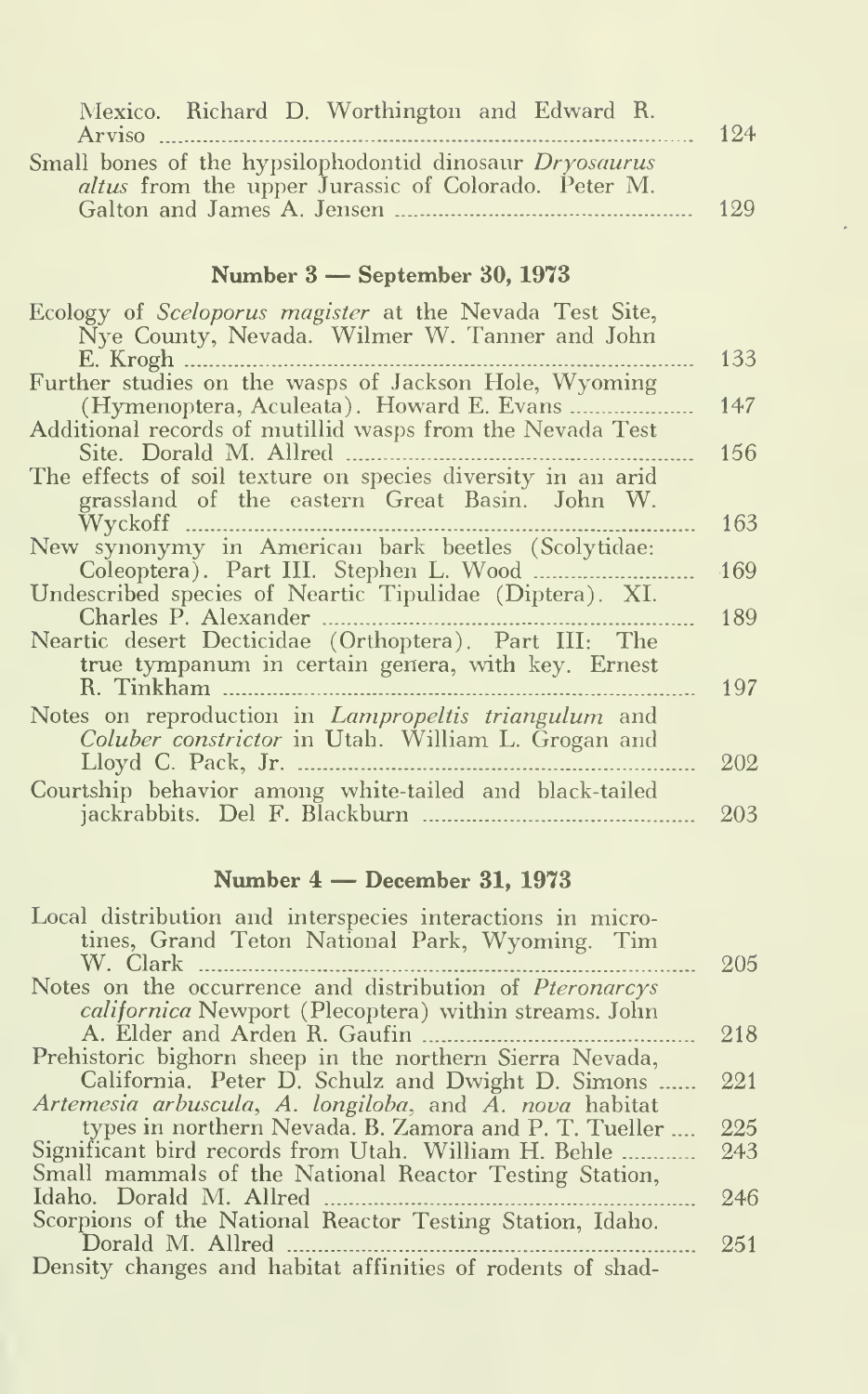| Mexico. Richard D. Worthington and Edward R.            |      |
|---------------------------------------------------------|------|
| Small bones of the hypsilophodontid dinosaur Dryosaurus |      |
| altus from the upper Jurassic of Colorado. Peter M.     | 19.9 |

#### Number <sup>3</sup> — September 30, <sup>1973</sup>

| Ecology of <i>Sceloporus magister</i> at the Nevada Test Site,                                               |     |
|--------------------------------------------------------------------------------------------------------------|-----|
| Nye County, Nevada. Wilmer W. Tanner and John                                                                |     |
| E. Krogh                                                                                                     | 133 |
| Further studies on the wasps of Jackson Hole, Wyoming                                                        |     |
| (Hymenoptera, Aculeata). Howard E. Evans.                                                                    | 147 |
| Additional records of mutillid wasps from the Nevada Test                                                    |     |
| Site. Dorald M. Allred                                                                                       | 156 |
| The effects of soil texture on species diversity in an arid<br>grassland of the eastern Great Basin. John W. |     |
| Wyckoff.                                                                                                     | 163 |
| New synonymy in American bark beetles (Scolytidae:                                                           |     |
| Coleoptera). Part III. Stephen L. Wood                                                                       | 169 |
| Undescribed species of Neartic Tipulidae (Diptera). XI.                                                      |     |
| Charles P. Alexander                                                                                         | 189 |
| Neartic desert Decticidae (Orthoptera). Part III: The                                                        |     |
| true tympanum in certain genera, with key. Ernest                                                            |     |
| R. Tinkham                                                                                                   | 197 |
| Notes on reproduction in <i>Lampropeltis triangulum</i> and                                                  |     |
| Coluber constrictor in Utah. William L. Grogan and                                                           |     |
| Lloyd C. Pack, Jr.                                                                                           | 202 |
| Courtship behavior among white-tailed and black-tailed                                                       |     |
| jackrabbits. Del F. Blackburn                                                                                | 203 |

### Number <sup>4</sup> — December 31, <sup>1973</sup>

| Local distribution and interspecies interactions in micro-     |     |
|----------------------------------------------------------------|-----|
| tines, Grand Teton National Park, Wyoming. Tim                 |     |
| W. Clark                                                       | 205 |
| Notes on the occurrence and distribution of <i>Pteronarcys</i> |     |
| <i>californica</i> Newport (Plecoptera) within streams. John   |     |
| A. Elder and Arden R. Gaufin                                   | 218 |
| Prehistoric bighorn sheep in the northern Sierra Nevada,       |     |
| California. Peter D. Schulz and Dwight D. Simons               | 221 |
| Artemesia arbuscula, A. longiloba, and A. nova habitat         |     |
| types in northern Nevada. B. Zamora and P. T. Tueller          | 225 |
| Significant bird records from Utah. William H. Behle           | 243 |
| Small mammals of the National Reactor Testing Station,         |     |
| Idaho. Dorald M. Allred                                        | 246 |
| Scorpions of the National Reactor Testing Station, Idaho.      |     |
| Dorald M. Allred                                               | 251 |
| Density changes and habitat affinities of rodents of shad-     |     |
|                                                                |     |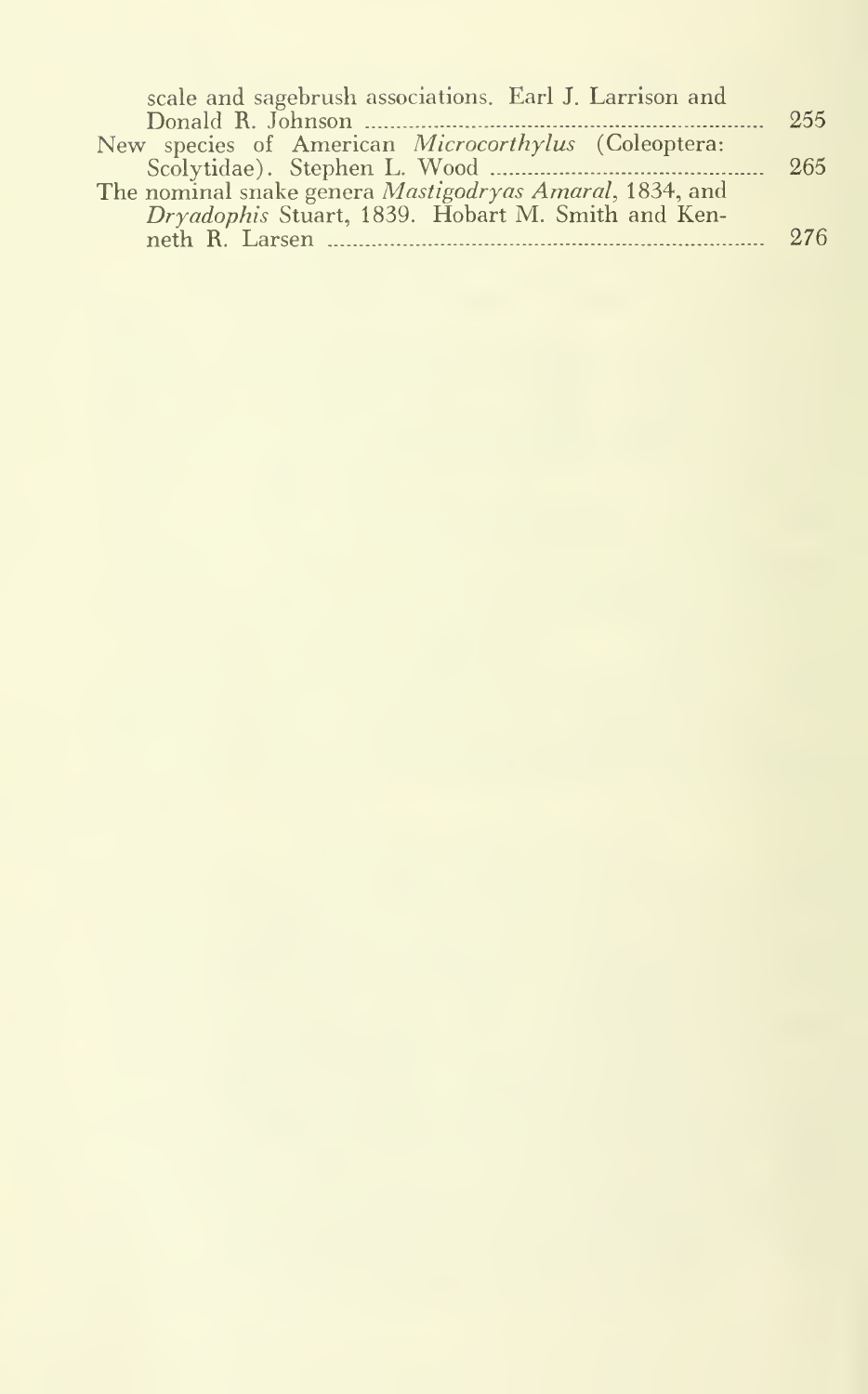| scale and sagebrush associations. Earl J. Larrison and  |      |
|---------------------------------------------------------|------|
| Donald R. Johnson                                       | 255  |
| New species of American Microcorthylus (Coleoptera:     |      |
|                                                         | 265  |
| The nominal snake genera Mastigodryas Amaral, 1834, and |      |
| Dryadophis Stuart, 1839. Hobart M. Smith and Ken-       |      |
|                                                         | 2.76 |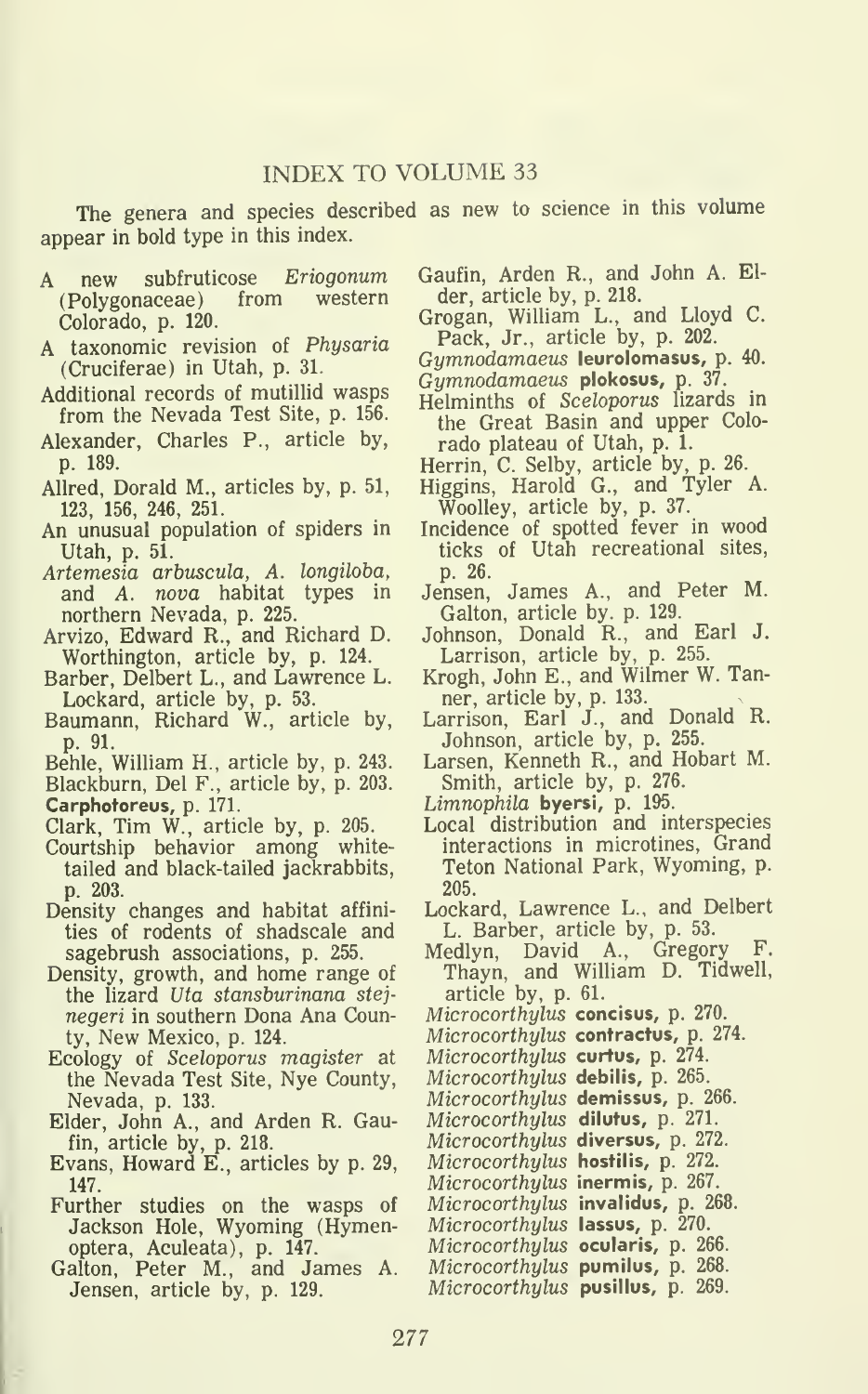The genera and species described as new to science in this volume appear in bold type in this index.

- A new subfruticose *Eriogonum*<br>(Polygonaceae) from western (Polygonaceae) Colorado, p. 120.
- A taxonomic revision of Physaria (Cruciferae) in Utah, p. 31.
- Additional records of mutillid wasps from the Nevada Test Site, p. 156.
- Alexander, Charles P., article by, p. 189.
- Allred, Dorald M., articles by, p. 51, 123, 156, 246, 251.
- An unusual population of spiders in Utah, p. 51.
- Artemesia arbuscula, A. longiloba, and A. nova habitat types in northern Nevada, p. 225.
- Arvizo, Edward R., and Richard D. Worthington, article by, p. 124.
- Barber, Delbert L., and Lawrence L. Lockard, article by, p. 53.
- Baumann, Richard W., article by, p. 91.
- Behle, William H., article by, p. 243.
- Blackburn, Del F., article by, p. 203.
- Carphotoreus, p. 171.
- Clark, Tim W., article by, p. 205.
- Courtship behavior among whitetailed and black-tailed jackrabbits, p. 203.
- Density changes and habitat affini ties of rodents of shadscale and sagebrush associations, p. 255.
- Density, growth, and home range of the lizard Uta stansburinana stej negeri in southern Dona Ana County, New Mexico, p. 124.
- Ecology of Sceloporus magister at the Nevada Test Site, Nye County, Nevada, p. 133.
- Elder, John A., and Arden R. Gaufin, article by, p. 218.
- Evans, Howard E., articles by p. 29, 147.
- Further studies on the wasps of  $\Lambda$ Jackson Hole, Wyoming (Hymenoptera, Aculeata), p. 147.
- Galton, Peter M., and James A. Jensen, article by, p. 129.
- Gaufin, Arden R., and John A. Elder, article by, p. 218.
- Grogan, William L., and Lloyd C. Pack, Jr., article by, p. 202.

Gymnodamaeus leurolomasus, p. 40. Gymnodamaeus **plokosus,** p. 37. . . .

- Helminths of Sceloporus lizards in the Great Basin and upper Colo rado plateau of Utah, p. 1.
- 
- Herrin, C. Selby, article by, p. 26. Higgins, Harold G., and Tyler A.
- Woolley, article by, p. 37. Incidence of spotted fever in wood ticks of Utah recreational sites,
- p. 26. Jensen, James A., and Peter M. Galton, article by. p. 129.
- Johnson, Donald R., and Earl J. Larrison, article by,  $p.$  255.  $\overline{\phantom{0}}$
- Krogh, John E., and Wilmer W. Tan-
- ner, article by, p. 133.<br>Larrison, Earl J., and Donald R. Johnson, article by, p. 255.
- Larsen, Kenneth R., and Hobart M. Smith, article by, p. 276.
- Limnophila byersi, p. 195.
- Local distribution and interspecies interactions in microtines, Grand Teton National Park, Wyoming, p.
- 205. Lockard, Lawrence L., and Delbert L. Barber, article by, p. 53.
- Medlyn, David A., Gregory F. Thayn, and William D. Tidwell, article by, p. 61.
- Microcorthylus concisus, p. 270.
- Microcorthylus contractus, p. 274.
- Microcorthylus curtus, p. 274.
- Microcorthylus debilis, p. 265.
- Microcorthylus demissus, p. 266.
- Microcorthylus dilutus, p. 271.
- Microcorthylus diversus, p. 272.
- Microcorthylus hostilis, p. 272.
- Microcorthylus inermis, p. 267.
- Microcorthylus invalidus, p. 268.
- Microcorthylus lassus, p. 270.
- Microcorthylus ocularis, p. 266.
- Microcorthylus pumilus, p. 268.
- Microcorthylus pusillus, p. 269.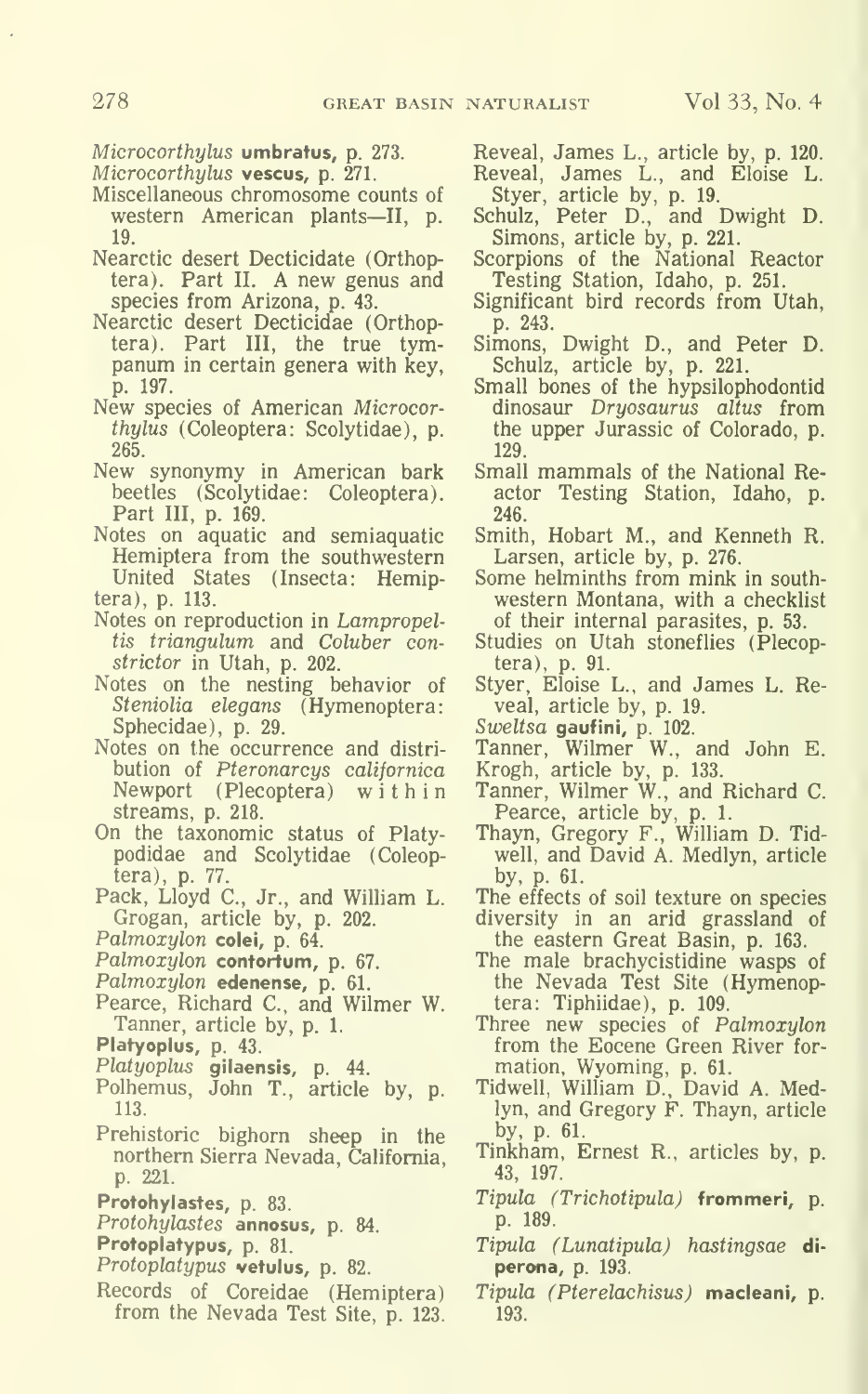- Microcorthylus umbratus, p. 273.
- Microcorthylus vescus, p. 271.
- Miscellaneous chromosome counts of western American plants—II, p. 19
- 19. Nearctic desert Decticidate (Orthoptera). Part II. A new genus and species from Arizona, p. 43.
- Nearctic desert Decticidae (Orthoptera). Part III, the true tympanum in certain genera with key,<br>p. 197.
- New species of American Microcorthylus (Coleoptera: Scolytidae), p. 265.
- New synonymy in American bark beetles (Scolytidae: Coleoptera). Part III, p. 169.
- Notes on aquatic and semiaquatic Hemiptera from the southwestern United States (Insecta: Hemiptera), p. 113.
- Notes on reproduction in Lampropeltis triangulum and Coluber constrictor in Utah, p. 202.
- Notes on the nesting behavior of Steniolia elegans (Hymenoptera: veal, article by, p. 19.<br>Sphecidae), p. 29. Sweltsa qaufini, p. 102. Sphecidae), p. 29.
- Notes on the occurrence and distri bution of Pteronarcys californica Newport (Plecoptera) within streams, p. 218.
- On the taxonomic status of Platypodidae and Scolytidae (Coleoptera), p. 77.
- Pack, Lloyd C., Jr., and William L. Grogan, article by, p. 202.
- Palmoxylon colei, p. 64.
- Palmoxylon contortum, p. 67.
- Palmoxylon edenense, p. 61.
- Pearce, Richard C, and Wilmer W. Tanner, article by, p. 1.
- Platyoplus, p. 43.
- Platyoplus gilaensis, p. 44.
- Polhemus, John T., article by, p. 113.
- Prehistoric bighorn sheep in the northern Sierra Nevada, California, p. 221.
- Protohylastes, p. 83.
- Protohylastes annosus, p. 84.
- Protoplatypus, p. 81.
- Protoplatypus vetulus, p. 82.
- Records of Coreidae (Hemiptera) from the Nevada Test Site, p. 123.

Reveal, James L., article by, p. 120.

- Reveal, James L., and Eloise L. Styer, article by, p. 19.
- Schulz, Peter D., and Dwight D. Simons, article by, p. 221.
- Scorpions of the National Reactor Testing Station, Idaho, p. 251.
- Significant bird records from Utah, p. 243.
- Simons, Dwight D., and Peter D. Schulz, article by, p. 221.
- Small bones of the hypsilophodontid dinosaur Dryosaurus altus from the upper Jurassic of Colorado, p. 129.
- Small mammals of the National Reactor Testing Station, Idaho, p. 246.
- Smith, Hobart M., and Kenneth R.<br>Larsen, article by, p. 276.
- Some helminths from mink in southwestern Montana, with a checklist of their internal parasites, p. 53.
- Studies on Utah stoneflies (Plecoptera), p. 91.
- Styer, Eloise L., and James L. Reveal, article by, p. 19.
- Sweltsa gaufini, p. 102.
- Tanner, Wilmer W., and John E. Krogh, article by, p. 133.
- Tanner, Wilmer W., and Richard C. Pearce, article by, p. 1.
- Thayn, Gregory F., William D. Tidwell, and David A. Medlyn, article by, p. 61.
- The effects of soil texture on species diversity in an arid grassland of
- the eastern Great Basin, p. 163.
- The male brachycistidine wasps of the Nevada Test Site (Hymenoptera: Tiphiidae), p. 109.
- Three new species of Palmoxylon from the Eocene Green River for mation, Wyoming, p. 61.
- Tidwell, William D., David A. Medlyn, and Gregory F. Thayn, article by, p. 61.
- Tinkham, Ernest R., articles by, p. 43, 197.
- Tipula (Trichotipula) frommeri, p. p. 189.
- Tipula (Lunatipula) hastingsae di perona, p. 193.
- Tipula (Pterelachisus) macleani, p. 193.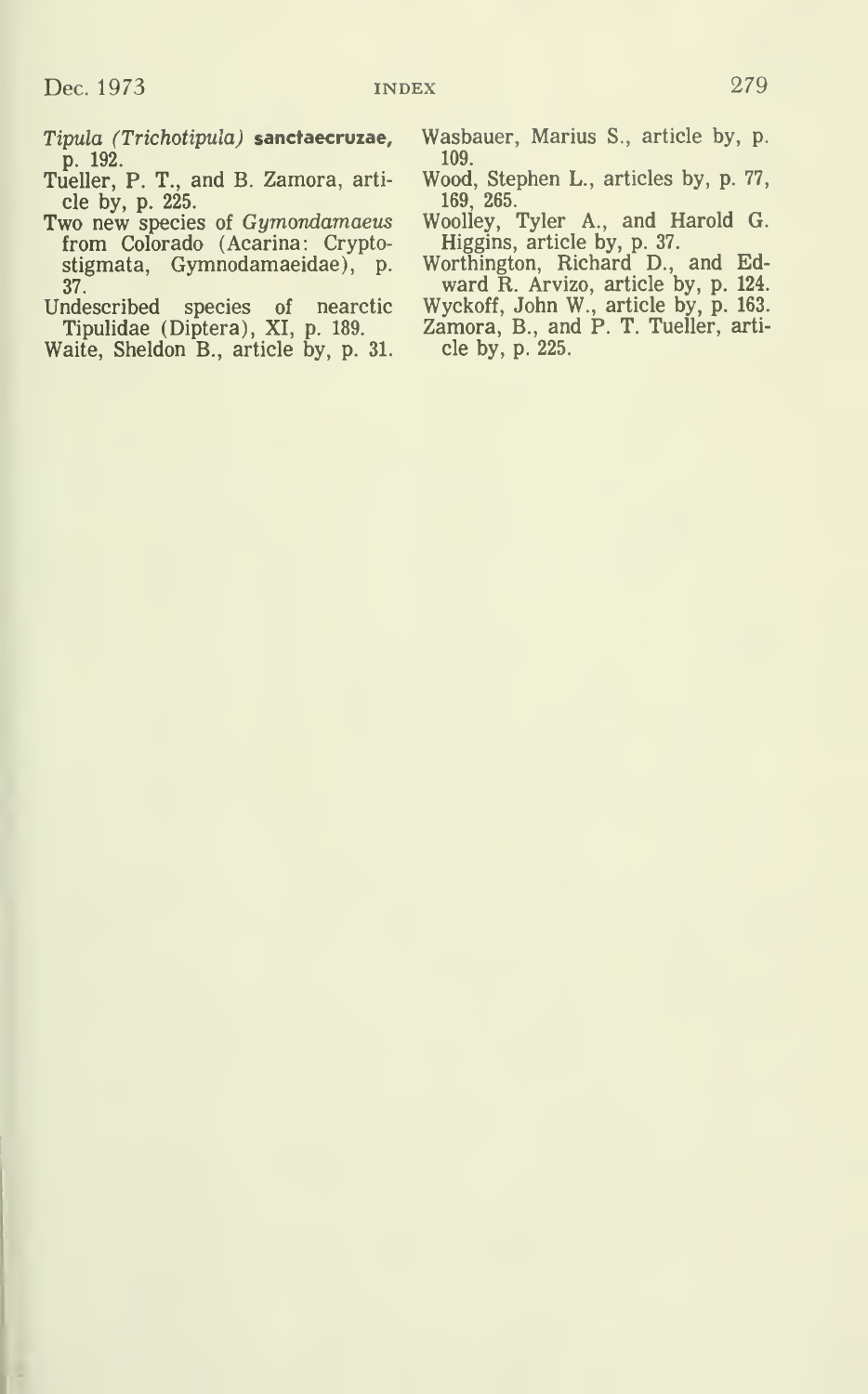- Tipula (Trichotipula) sanctaecruzae, Wasbauer, Marius S., article by, p.
- 
- from Colorado (Acarina: Crypto- Higgins, article by, p. 37.<br>stigmata, Gymnodamaeidae), p. Worthington, Richard D., and Ed-37. ward R. Arvizo, article by, p. 124.
- Undescribed species of nearctic Wyckoff, John V.<br>Tipulidae (Diptera), XI, p. 189. Zamora, B., and Waite. Sheldon B., article by. p. 31. cle by. p. 225.
- Waite, Sheldon B., article by, p. 31.
- 
- p. 192. 109. Tueller, P. T., and B. Zamora, arti- Wood, Stephen L., articles by, p. 77,
- cle by, p. 225. 169, 265. Two new species of Gymondamaeus Woolley, Tyler A., and Harold G.
	-
	- Wyckoff, John W., article by, p. 163.<br>Zamora, B., and P. T. Tueller, arti-
	-